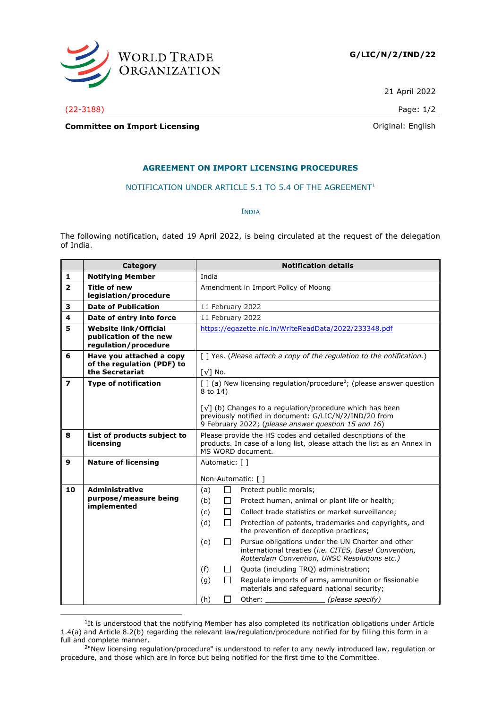

21 April 2022

(22-3188) Page: 1/2

## **Committee on Import Licensing Committee on Import Licensing**

## **AGREEMENT ON IMPORT LICENSING PROCEDURES**

## NOTIFICATION UNDER ARTICLE 5.1 TO 5.4 OF THE AGREEMENT<sup>1</sup>

INDIA

The following notification, dated 19 April 2022, is being circulated at the request of the delegation of India.

|                          | Category                                                                       | <b>Notification details</b>                                                                                                                                                                                                                                                                             |
|--------------------------|--------------------------------------------------------------------------------|---------------------------------------------------------------------------------------------------------------------------------------------------------------------------------------------------------------------------------------------------------------------------------------------------------|
| 1                        | <b>Notifying Member</b>                                                        | India                                                                                                                                                                                                                                                                                                   |
| $\overline{2}$           | <b>Title of new</b><br>legislation/procedure                                   | Amendment in Import Policy of Moong                                                                                                                                                                                                                                                                     |
| 3                        | <b>Date of Publication</b>                                                     | 11 February 2022                                                                                                                                                                                                                                                                                        |
| 4                        | Date of entry into force                                                       | 11 February 2022                                                                                                                                                                                                                                                                                        |
| 5                        | <b>Website link/Official</b><br>publication of the new<br>regulation/procedure | https://egazette.nic.in/WriteReadData/2022/233348.pdf                                                                                                                                                                                                                                                   |
| 6                        | Have you attached a copy<br>of the regulation (PDF) to<br>the Secretariat      | [] Yes. (Please attach a copy of the regulation to the notification.)<br>$[\sqrt{}]$ No.                                                                                                                                                                                                                |
| $\overline{\phantom{a}}$ | <b>Type of notification</b>                                                    | $\lceil$ ] (a) New licensing regulation/procedure <sup>2</sup> ; (please answer question<br>8 to 14)<br>$\lceil \sqrt{\ } \rceil$ (b) Changes to a regulation/procedure which has been<br>previously notified in document: G/LIC/N/2/IND/20 from<br>9 February 2022; (please answer question 15 and 16) |
| 8                        | List of products subject to<br>licensing                                       | Please provide the HS codes and detailed descriptions of the<br>products. In case of a long list, please attach the list as an Annex in<br>MS WORD document.                                                                                                                                            |
| 9                        | <b>Nature of licensing</b>                                                     | Automatic: [ ]                                                                                                                                                                                                                                                                                          |
|                          |                                                                                | Non-Automatic: []                                                                                                                                                                                                                                                                                       |
| 10                       | <b>Administrative</b>                                                          | □<br>Protect public morals;<br>(a)                                                                                                                                                                                                                                                                      |
|                          | purpose/measure being<br>implemented                                           | (b)<br>Protect human, animal or plant life or health;<br>Ħ                                                                                                                                                                                                                                              |
|                          |                                                                                | (c)<br>□<br>Collect trade statistics or market surveillance;                                                                                                                                                                                                                                            |
|                          |                                                                                | (d)<br>П<br>Protection of patents, trademarks and copyrights, and<br>the prevention of deceptive practices;                                                                                                                                                                                             |
|                          |                                                                                | Pursue obligations under the UN Charter and other<br>(e)<br>$\Box$<br>international treaties (i.e. CITES, Basel Convention,<br>Rotterdam Convention, UNSC Resolutions etc.)                                                                                                                             |
|                          |                                                                                | (f)<br>Quota (including TRQ) administration;<br>$\mathsf{L}$                                                                                                                                                                                                                                            |
|                          |                                                                                | □<br>Regulate imports of arms, ammunition or fissionable<br>(g)<br>materials and safeguard national security;                                                                                                                                                                                           |
|                          |                                                                                | $\mathbf{L}$<br>Other:<br>(please specify)<br>(h)                                                                                                                                                                                                                                                       |

 ${}^{1}$ It is understood that the notifying Member has also completed its notification obligations under Article 1.4(a) and Article 8.2(b) regarding the relevant law/regulation/procedure notified for by filling this form in a full and complete manner.

<sup>&</sup>lt;sup>2</sup>"New licensing regulation/procedure" is understood to refer to any newly introduced law, regulation or procedure, and those which are in force but being notified for the first time to the Committee.